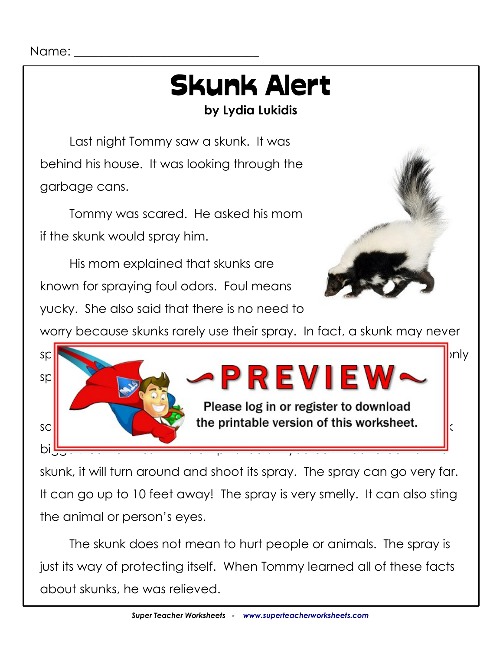## Skunk Alert **by Lydia Lukidis**

Last night Tommy saw a skunk. It was behind his house. It was looking through the garbage cans.

Tommy was scared. He asked his mom if the skunk would spray him.

His mom explained that skunks are known for spraying foul odors. Foul means

yucky. She also said that there is no need to



worry because skunks rarely use their spray. In fact, a skunk may never



skunk, it will turn around and shoot its spray. The spray can go very far. It can go up to 10 feet away! The spray is very smelly. It can also sting the animal or person's eyes.

The skunk does not mean to hurt people or animals. The spray is just its way of protecting itself. When Tommy learned all of these facts about skunks, he was relieved.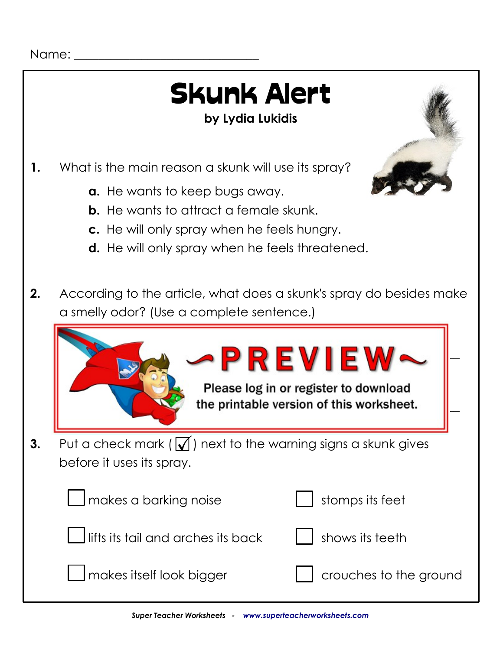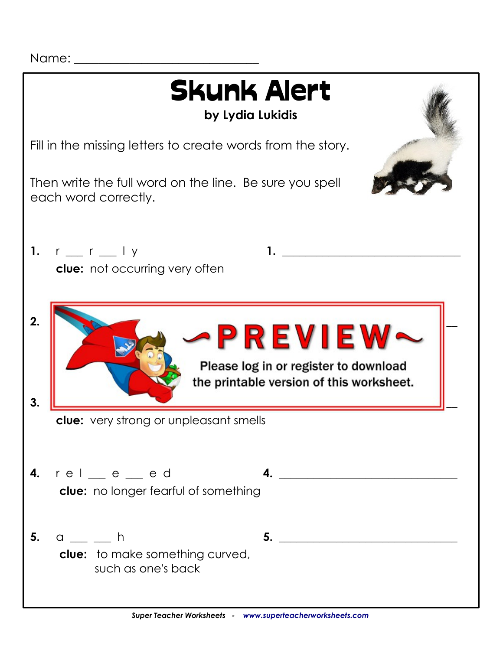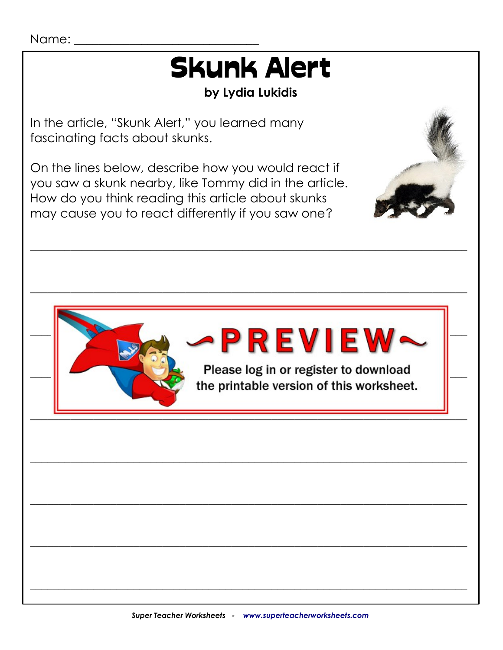# **Skunk Alert**

#### by Lydia Lukidis

In the article, "Skunk Alert," you learned many fascinating facts about skunks.

On the lines below, describe how you would react if you saw a skunk nearby, like Tommy did in the article. How do you think reading this article about skunks may cause you to react differently if you saw one?





Please log in or register to download the printable version of this worksheet.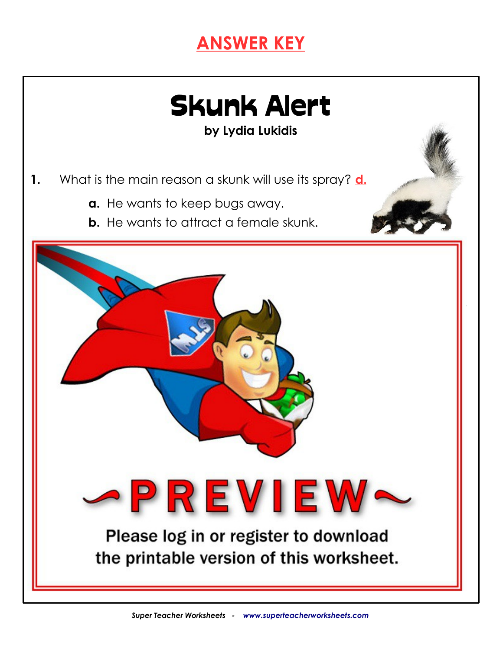### **ANSWER KEY**



**by Lydia Lukidis**

- **1.** What is the main reason a skunk will use its spray? **d.**
	- **a.** He wants to keep bugs away.
	- **b.** He wants to attract a female skunk.